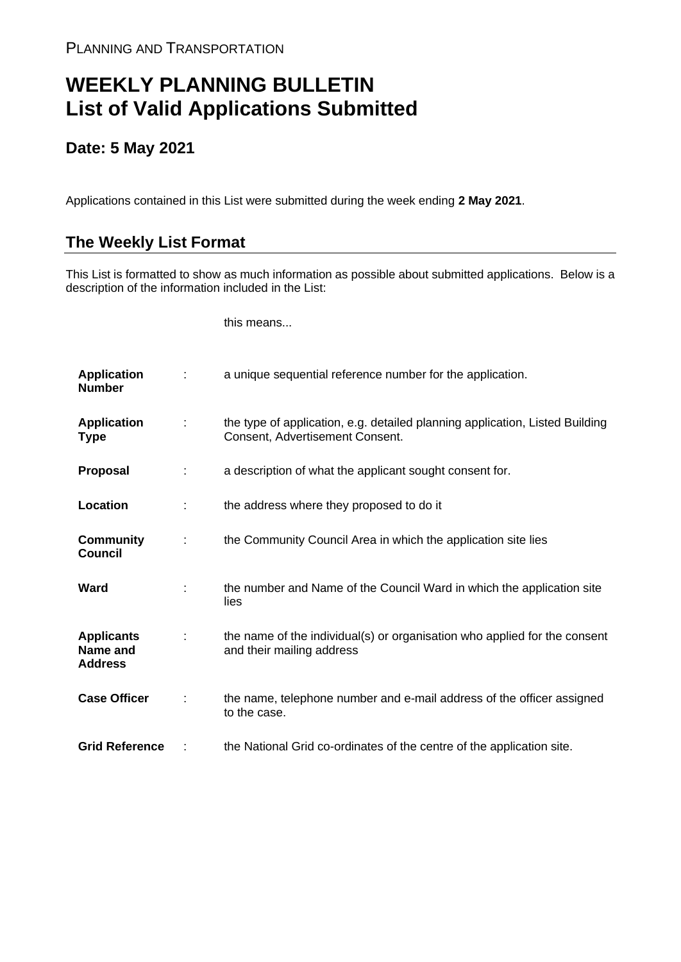## **WEEKLY PLANNING BULLETIN List of Valid Applications Submitted**

## **Date: 5 May 2021**

Applications contained in this List were submitted during the week ending **2 May 2021**.

## **The Weekly List Format**

This List is formatted to show as much information as possible about submitted applications. Below is a description of the information included in the List:

this means...

| <b>Application</b><br><b>Number</b>             |   | a unique sequential reference number for the application.                                                       |
|-------------------------------------------------|---|-----------------------------------------------------------------------------------------------------------------|
| <b>Application</b><br><b>Type</b>               | ÷ | the type of application, e.g. detailed planning application, Listed Building<br>Consent, Advertisement Consent. |
| Proposal                                        |   | a description of what the applicant sought consent for.                                                         |
| Location                                        | ÷ | the address where they proposed to do it                                                                        |
| <b>Community</b><br><b>Council</b>              | ÷ | the Community Council Area in which the application site lies                                                   |
| Ward                                            |   | the number and Name of the Council Ward in which the application site<br>lies                                   |
| <b>Applicants</b><br>Name and<br><b>Address</b> |   | the name of the individual(s) or organisation who applied for the consent<br>and their mailing address          |
| <b>Case Officer</b>                             |   | the name, telephone number and e-mail address of the officer assigned<br>to the case.                           |
| <b>Grid Reference</b>                           |   | the National Grid co-ordinates of the centre of the application site.                                           |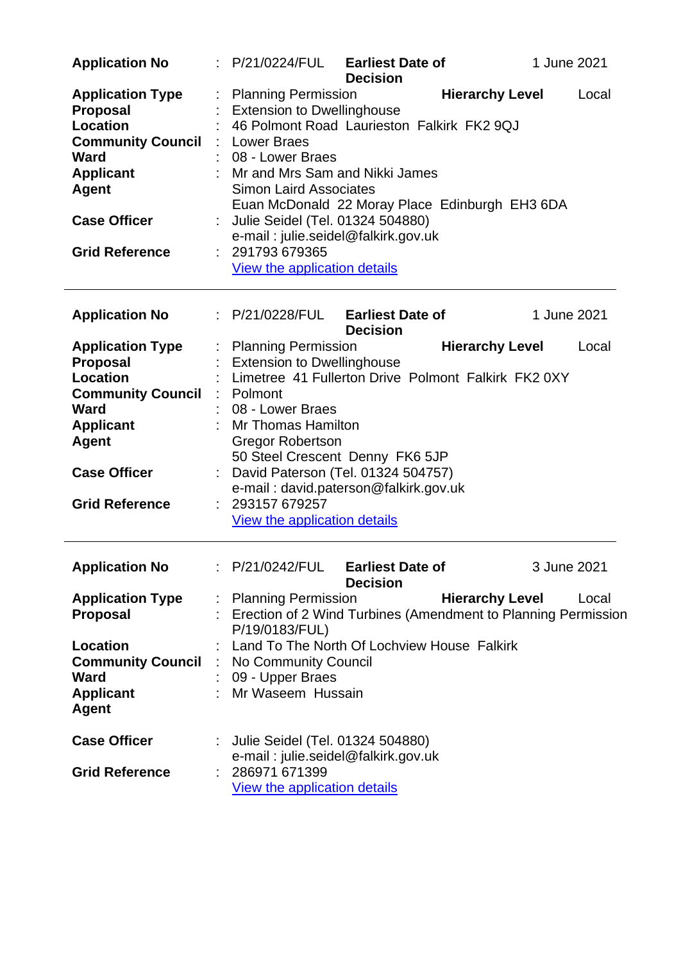| <b>Application No</b>                                                                                                                                                                        | <b>Earliest Date of</b><br>: P/21/0224/FUL<br><b>Decision</b>                                                                                                                                                                                                                                                                                                                                                                             | 1 June 2021 |
|----------------------------------------------------------------------------------------------------------------------------------------------------------------------------------------------|-------------------------------------------------------------------------------------------------------------------------------------------------------------------------------------------------------------------------------------------------------------------------------------------------------------------------------------------------------------------------------------------------------------------------------------------|-------------|
| <b>Application Type</b><br><b>Proposal</b><br><b>Location</b><br><b>Community Council</b><br><b>Ward</b><br><b>Applicant</b><br><b>Agent</b><br><b>Case Officer</b><br><b>Grid Reference</b> | <b>Hierarchy Level</b><br><b>Planning Permission</b><br><b>Extension to Dwellinghouse</b><br>46 Polmont Road Laurieston Falkirk FK2 9QJ<br><b>Lower Braes</b><br>08 - Lower Braes<br>Mr and Mrs Sam and Nikki James<br><b>Simon Laird Associates</b><br>Euan McDonald 22 Moray Place Edinburgh EH3 6DA<br>Julie Seidel (Tel. 01324 504880)<br>e-mail: julie.seidel@falkirk.gov.uk<br>291793 679365<br><b>View the application details</b> | Local       |
| <b>Application No</b>                                                                                                                                                                        | : P/21/0228/FUL Earliest Date of<br><b>Decision</b>                                                                                                                                                                                                                                                                                                                                                                                       | 1 June 2021 |
| <b>Application Type</b><br><b>Proposal</b><br><b>Location</b><br><b>Community Council</b><br><b>Ward</b><br><b>Applicant</b><br><b>Agent</b><br><b>Case Officer</b><br><b>Grid Reference</b> | <b>Planning Permission</b><br><b>Hierarchy Level</b><br><b>Extension to Dwellinghouse</b><br>Limetree 41 Fullerton Drive Polmont Falkirk FK2 0XY<br>: Polmont<br>08 - Lower Braes<br><b>Mr Thomas Hamilton</b><br><b>Gregor Robertson</b><br>50 Steel Crescent Denny FK6 5JP<br>David Paterson (Tel. 01324 504757)<br>e-mail: david.paterson@falkirk.gov.uk<br>293157 679257<br>View the application details                              | Local       |
| <b>Application No</b>                                                                                                                                                                        | P/21/0242/FUL<br><b>Earliest Date of</b><br><b>Decision</b>                                                                                                                                                                                                                                                                                                                                                                               | 3 June 2021 |
| <b>Application Type</b><br><b>Proposal</b><br>Location                                                                                                                                       | <b>Hierarchy Level</b><br><b>Planning Permission</b><br>Erection of 2 Wind Turbines (Amendment to Planning Permission<br>P/19/0183/FUL)<br>Land To The North Of Lochview House Falkirk                                                                                                                                                                                                                                                    | Local       |
| <b>Community Council</b><br><b>Ward</b><br><b>Applicant</b><br><b>Agent</b>                                                                                                                  | No Community Council<br>09 - Upper Braes<br>Mr Waseem Hussain                                                                                                                                                                                                                                                                                                                                                                             |             |
| <b>Case Officer</b><br><b>Grid Reference</b>                                                                                                                                                 | Julie Seidel (Tel. 01324 504880)<br>e-mail: julie.seidel@falkirk.gov.uk<br>286971 671399<br><b>View the application details</b>                                                                                                                                                                                                                                                                                                           |             |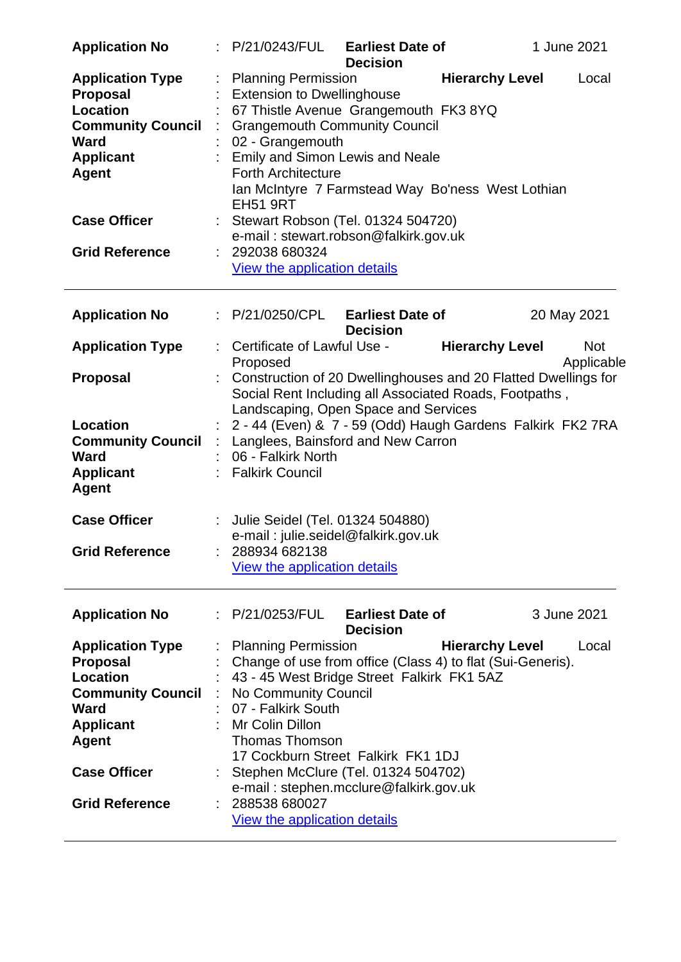| <b>Application No</b>                                                                                                                                                                        |   | : P/21/0243/FUL                                                                                                                                                                                                                                                                                                                                                                                                 | <b>Earliest Date of</b><br><b>Decision</b> |                        | 1 June 2021              |
|----------------------------------------------------------------------------------------------------------------------------------------------------------------------------------------------|---|-----------------------------------------------------------------------------------------------------------------------------------------------------------------------------------------------------------------------------------------------------------------------------------------------------------------------------------------------------------------------------------------------------------------|--------------------------------------------|------------------------|--------------------------|
| <b>Application Type</b><br><b>Proposal</b><br><b>Location</b><br><b>Community Council</b><br><b>Ward</b><br><b>Applicant</b><br><b>Agent</b><br><b>Case Officer</b>                          | t | <b>Planning Permission</b><br><b>Extension to Dwellinghouse</b><br>67 Thistle Avenue Grangemouth FK3 8YQ<br><b>Grangemouth Community Council</b><br>02 - Grangemouth<br>: Emily and Simon Lewis and Neale<br><b>Forth Architecture</b><br>Ian McIntyre 7 Farmstead Way Bo'ness West Lothian<br><b>EH51 9RT</b><br>Stewart Robson (Tel. 01324 504720)                                                            |                                            | <b>Hierarchy Level</b> | Local                    |
| <b>Grid Reference</b>                                                                                                                                                                        |   | e-mail: stewart.robson@falkirk.gov.uk<br>292038 680324<br>View the application details                                                                                                                                                                                                                                                                                                                          |                                            |                        |                          |
| <b>Application No</b>                                                                                                                                                                        |   | : P/21/0250/CPL                                                                                                                                                                                                                                                                                                                                                                                                 | <b>Earliest Date of</b><br><b>Decision</b> |                        | 20 May 2021              |
| <b>Application Type</b>                                                                                                                                                                      |   | Certificate of Lawful Use -<br>Proposed                                                                                                                                                                                                                                                                                                                                                                         |                                            | <b>Hierarchy Level</b> | <b>Not</b><br>Applicable |
| <b>Proposal</b>                                                                                                                                                                              |   | Construction of 20 Dwellinghouses and 20 Flatted Dwellings for<br>Social Rent Including all Associated Roads, Footpaths,<br>Landscaping, Open Space and Services                                                                                                                                                                                                                                                |                                            |                        |                          |
| Location<br><b>Community Council</b><br><b>Ward</b><br><b>Applicant</b><br><b>Agent</b>                                                                                                      | ÷ | 2 - 44 (Even) & 7 - 59 (Odd) Haugh Gardens Falkirk FK2 7RA<br>Langlees, Bainsford and New Carron<br>06 - Falkirk North<br><b>Falkirk Council</b>                                                                                                                                                                                                                                                                |                                            |                        |                          |
| <b>Case Officer</b><br><b>Grid Reference</b>                                                                                                                                                 |   | Julie Seidel (Tel. 01324 504880)<br>e-mail: julie.seidel@falkirk.gov.uk<br>288934 682138<br>View the application details                                                                                                                                                                                                                                                                                        |                                            |                        |                          |
|                                                                                                                                                                                              |   |                                                                                                                                                                                                                                                                                                                                                                                                                 |                                            |                        |                          |
| <b>Application No</b>                                                                                                                                                                        |   | : P/21/0253/FUL                                                                                                                                                                                                                                                                                                                                                                                                 | <b>Earliest Date of</b><br><b>Decision</b> |                        | 3 June 2021              |
| <b>Application Type</b><br><b>Proposal</b><br><b>Location</b><br><b>Community Council</b><br><b>Ward</b><br><b>Applicant</b><br><b>Agent</b><br><b>Case Officer</b><br><b>Grid Reference</b> |   | <b>Planning Permission</b><br>Change of use from office (Class 4) to flat (Sui-Generis).<br>43 - 45 West Bridge Street Falkirk FK1 5AZ<br>No Community Council<br>07 - Falkirk South<br>Mr Colin Dillon<br><b>Thomas Thomson</b><br>17 Cockburn Street Falkirk FK1 1DJ<br>Stephen McClure (Tel. 01324 504702)<br>e-mail: stephen.mcclure@falkirk.gov.uk<br>288538 680027<br><b>View the application details</b> |                                            | <b>Hierarchy Level</b> | Local                    |